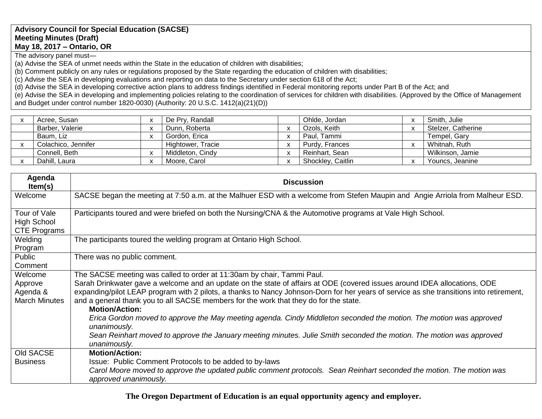## **Advisory Council for Special Education (SACSE) Meeting Minutes (Draft) May 18, 2017 – Ontario, OR**

The advisory panel must—

(a) Advise the SEA of unmet needs within the State in the education of children with disabilities;

(b) Comment publicly on any rules or regulations proposed by the State regarding the education of children with disabilities;

(c) Advise the SEA in developing evaluations and reporting on data to the Secretary under section 618 of the Act;

(d) Advise the SEA in developing corrective action plans to address findings identified in Federal monitoring reports under Part B of the Act; and

(e) Advise the SEA in developing and implementing policies relating to the coordination of services for children with disabilities. (Approved by the Office of Management and Budget under control number 1820-0030) (Authority: 20 U.S.C. 1412(a)(21)(D))

| Acree, Susan        |                          | De Pry, Randall   |              | Ohlde, Jordan     | Smith, Julie       |
|---------------------|--------------------------|-------------------|--------------|-------------------|--------------------|
| Barber, Valerie     |                          | Dunn, Roberta     |              | Ozols, Keith      | Stelzer, Catherine |
| Baum, Liz           |                          | Gordon, Erica     |              | Paul, Tammi       | Tempel, Gary       |
| Colachico, Jennifer |                          | Hightower, Tracie | $\mathbf{v}$ | Purdy, Frances    | Whitnah, Ruth      |
| Connell, Beth       | $\overline{\phantom{a}}$ | Middleton, Cindy  |              | Reinhart, Sean    | Wilkinson, Jamie   |
| Dahill, Laura       | $\overline{\mathbf{v}}$  | Moore, Carol      |              | Shockley, Caitlin | Youncs, Jeanine    |

| Agenda<br>Item(s)                                         | <b>Discussion</b>                                                                                                                                                                                                                                                                                                                                                                                                                                                                                                                                                                                                                                                                                                                              |
|-----------------------------------------------------------|------------------------------------------------------------------------------------------------------------------------------------------------------------------------------------------------------------------------------------------------------------------------------------------------------------------------------------------------------------------------------------------------------------------------------------------------------------------------------------------------------------------------------------------------------------------------------------------------------------------------------------------------------------------------------------------------------------------------------------------------|
| Welcome                                                   | SACSE began the meeting at 7:50 a.m. at the Malhuer ESD with a welcome from Stefen Maupin and Angie Arriola from Malheur ESD.                                                                                                                                                                                                                                                                                                                                                                                                                                                                                                                                                                                                                  |
| Tour of Vale<br><b>High School</b><br><b>CTE Programs</b> | Participants toured and were briefed on both the Nursing/CNA & the Automotive programs at Vale High School.                                                                                                                                                                                                                                                                                                                                                                                                                                                                                                                                                                                                                                    |
| Welding<br>Program                                        | The participants toured the welding program at Ontario High School.                                                                                                                                                                                                                                                                                                                                                                                                                                                                                                                                                                                                                                                                            |
| Public<br>Comment                                         | There was no public comment.                                                                                                                                                                                                                                                                                                                                                                                                                                                                                                                                                                                                                                                                                                                   |
| Welcome<br>Approve<br>Agenda &<br><b>March Minutes</b>    | The SACSE meeting was called to order at 11:30am by chair, Tammi Paul.<br>Sarah Drinkwater gave a welcome and an update on the state of affairs at ODE (covered issues around IDEA allocations, ODE<br>expanding/pilot LEAP program with 2 pilots, a thanks to Nancy Johnson-Dorn for her years of service as she transitions into retirement,<br>and a general thank you to all SACSE members for the work that they do for the state.<br><b>Motion/Action:</b><br>Erica Gordon moved to approve the May meeting agenda. Cindy Middleton seconded the motion. The motion was approved<br>unanimously.<br>Sean Reinhart moved to approve the January meeting minutes. Julie Smith seconded the motion. The motion was approved<br>unanimously. |
| Old SACSE<br><b>Business</b>                              | <b>Motion/Action:</b><br>Issue: Public Comment Protocols to be added to by-laws<br>Carol Moore moved to approve the updated public comment protocols. Sean Reinhart seconded the motion. The motion was<br>approved unanimously.                                                                                                                                                                                                                                                                                                                                                                                                                                                                                                               |

**The Oregon Department of Education is an equal opportunity agency and employer.**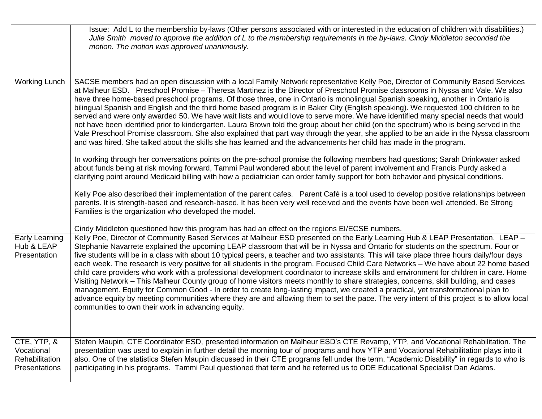|                                                              | Issue: Add L to the membership by-laws (Other persons associated with or interested in the education of children with disabilities.)<br>Julie Smith moved to approve the addition of L to the membership requirements in the by-laws. Cindy Middleton seconded the<br>motion. The motion was approved unanimously.                                                                                                                                                                                                                                                                                                                                                                                                                                                                                                                                                                                                                                                                                                                                                                                                                                                                    |
|--------------------------------------------------------------|---------------------------------------------------------------------------------------------------------------------------------------------------------------------------------------------------------------------------------------------------------------------------------------------------------------------------------------------------------------------------------------------------------------------------------------------------------------------------------------------------------------------------------------------------------------------------------------------------------------------------------------------------------------------------------------------------------------------------------------------------------------------------------------------------------------------------------------------------------------------------------------------------------------------------------------------------------------------------------------------------------------------------------------------------------------------------------------------------------------------------------------------------------------------------------------|
| <b>Working Lunch</b>                                         | SACSE members had an open discussion with a local Family Network representative Kelly Poe, Director of Community Based Services<br>at Malheur ESD. Preschool Promise - Theresa Martinez is the Director of Preschool Promise classrooms in Nyssa and Vale. We also<br>have three home-based preschool programs. Of those three, one in Ontario is monolingual Spanish speaking, another in Ontario is<br>bilingual Spanish and English and the third home based program is in Baker City (English speaking). We requested 100 children to be<br>served and were only awarded 50. We have wait lists and would love to serve more. We have identified many special needs that would<br>not have been identified prior to kindergarten. Laura Brown told the group about her child (on the spectrum) who is being served in the<br>Vale Preschool Promise classroom. She also explained that part way through the year, she applied to be an aide in the Nyssa classroom<br>and was hired. She talked about the skills she has learned and the advancements her child has made in the program.                                                                                          |
|                                                              | In working through her conversations points on the pre-school promise the following members had questions; Sarah Drinkwater asked<br>about funds being at risk moving forward, Tammi Paul wondered about the level of parent involvement and Francis Purdy asked a<br>clarifying point around Medicaid billing with how a pediatrician can order family support for both behavior and physical conditions.                                                                                                                                                                                                                                                                                                                                                                                                                                                                                                                                                                                                                                                                                                                                                                            |
|                                                              | Kelly Poe also described their implementation of the parent cafes. Parent Café is a tool used to develop positive relationships between<br>parents. It is strength-based and research-based. It has been very well received and the events have been well attended. Be Strong<br>Families is the organization who developed the model.                                                                                                                                                                                                                                                                                                                                                                                                                                                                                                                                                                                                                                                                                                                                                                                                                                                |
|                                                              | Cindy Middleton questioned how this program has had an effect on the regions EI/ECSE numbers.                                                                                                                                                                                                                                                                                                                                                                                                                                                                                                                                                                                                                                                                                                                                                                                                                                                                                                                                                                                                                                                                                         |
| <b>Early Learning</b><br>Hub & LEAP<br>Presentation          | Kelly Poe, Director of Community Based Services at Malheur ESD presented on the Early Learning Hub & LEAP Presentation. LEAP -<br>Stephanie Navarrete explained the upcoming LEAP classroom that will be in Nyssa and Ontario for students on the spectrum. Four or<br>five students will be in a class with about 10 typical peers, a teacher and two assistants. This will take place three hours daily/four days<br>each week. The research is very positive for all students in the program. Focused Child Care Networks - We have about 22 home based<br>child care providers who work with a professional development coordinator to increase skills and environment for children in care. Home<br>Visiting Network – This Malheur County group of home visitors meets monthly to share strategies, concerns, skill building, and cases<br>management. Equity for Common Good - In order to create long-lasting impact, we created a practical, yet transformational plan to<br>advance equity by meeting communities where they are and allowing them to set the pace. The very intent of this project is to allow local<br>communities to own their work in advancing equity. |
| CTE, YTP, &<br>Vocational<br>Rehabilitation<br>Presentations | Stefen Maupin, CTE Coordinator ESD, presented information on Malheur ESD's CTE Revamp, YTP, and Vocational Rehabilitation. The<br>presentation was used to explain in further detail the morning tour of programs and how YTP and Vocational Rehabilitation plays into it<br>also. One of the statistics Stefen Maupin discussed in their CTE programs fell under the term, "Academic Disability" in regards to who is<br>participating in his programs. Tammi Paul questioned that term and he referred us to ODE Educational Specialist Dan Adams.                                                                                                                                                                                                                                                                                                                                                                                                                                                                                                                                                                                                                                  |